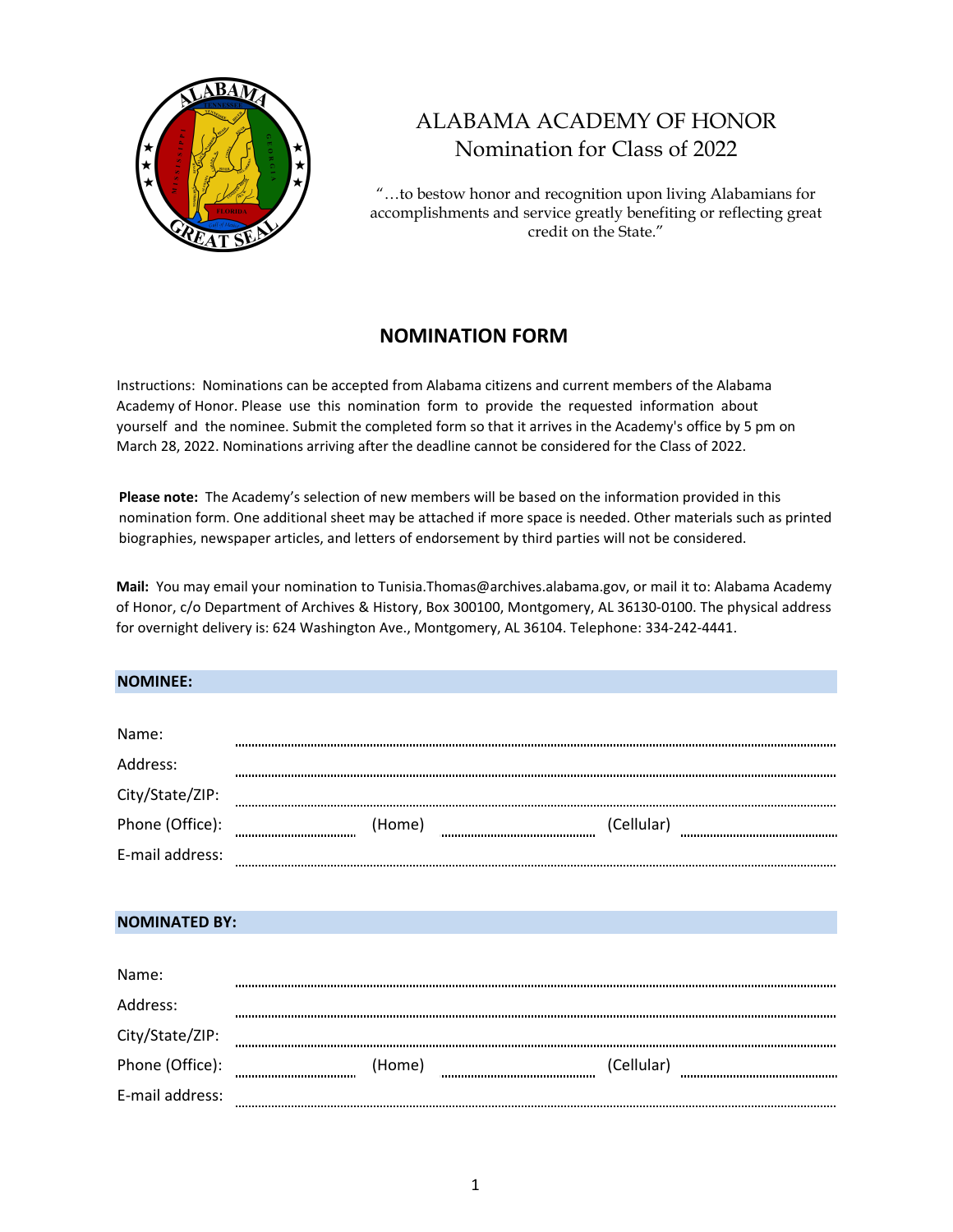

# ALABAMA ACADEMY OF HONOR Nomination for Class of 2022

"…to bestow honor and recognition upon living Alabamians for accomplishments and service greatly benefiting or reflecting great credit on the State."

## **NOMINATION FORM**

Instructions: Nominations can be accepted from Alabama citizens and current members of the Alabama Academy of Honor. Please use this nomination form to provide the requested information about yourself and the nominee. Submit the completed form so that it arrives in the Academy's office by 5 pm on March 28, 2022. Nominations arriving after the deadline cannot be considered for the Class of 2022.

**Please note:** The Academy's selection of new members will be based on the information provided in this nomination form. One additional sheet may be attached if more space is needed. Other materials such as printed biographies, newspaper articles, and letters of endorsement by third parties will not be considered.

**Mail:** You may email your nomination to Tunisia.Thomas@archives.alabama.gov, or mail it to: Alabama Academy of Honor, c/o Department of Archives & History, Box 300100, Montgomery, AL 36130‐0100. The physical address for overnight delivery is: 624 Washington Ave., Montgomery, AL 36104. Telephone: 334‐242‐4441.

#### **NOMINEE:**

| Name:           |        |            |
|-----------------|--------|------------|
| Address:        |        |            |
| City/State/ZIP: |        |            |
| Phone (Office): | (Home) | (Cellular) |
| E-mail address: |        |            |

#### **NOMINATED BY:**

| Name:           |        |            |  |
|-----------------|--------|------------|--|
| Address:        |        |            |  |
| City/State/ZIP: |        |            |  |
| Phone (Office): | (Home) | (Cellular) |  |
| E-mail address: |        |            |  |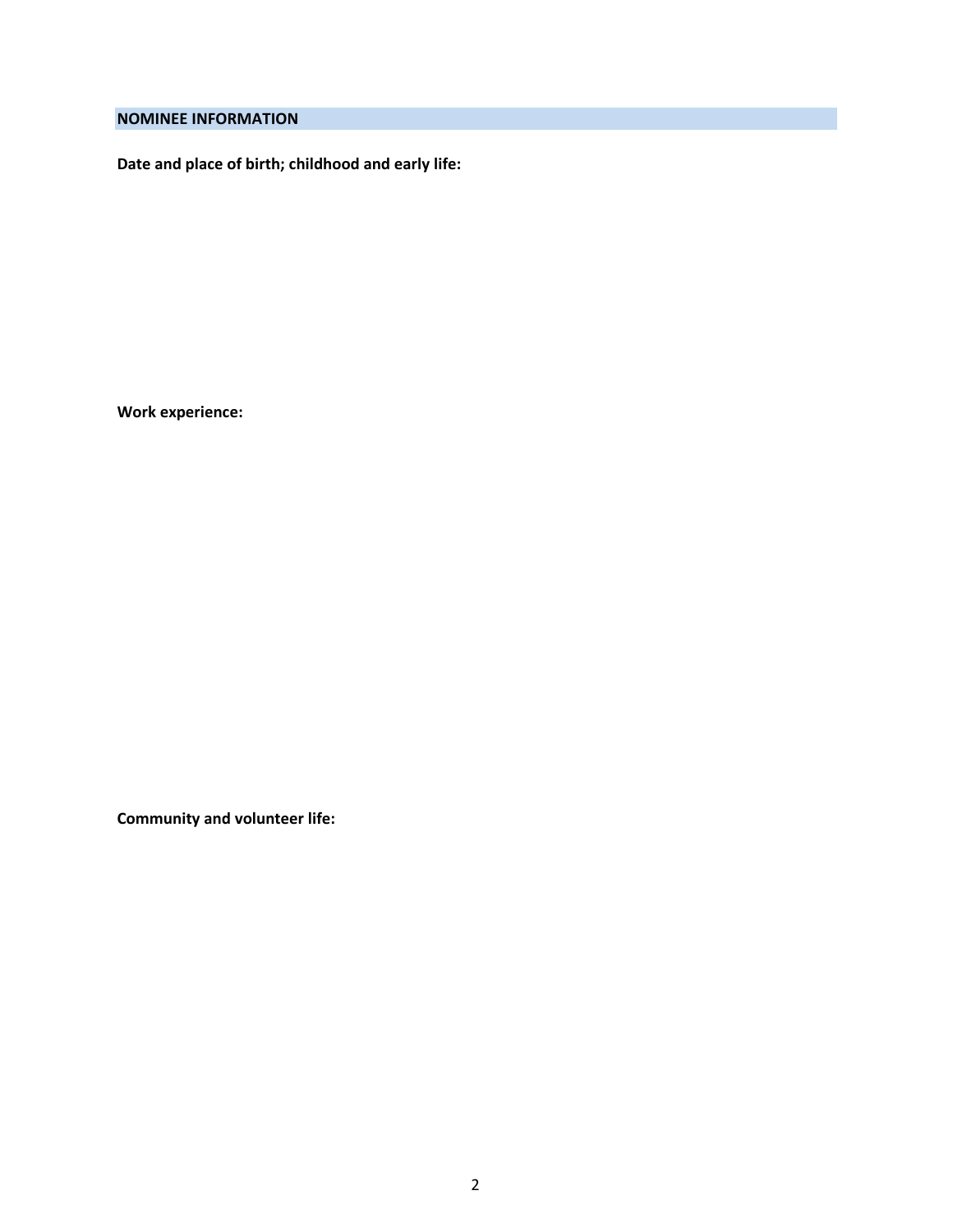### **NOMINEE INFORMATION**

**Date and place of birth; childhood and early life:**

**Work experience:**

**Community and volunteer life:**